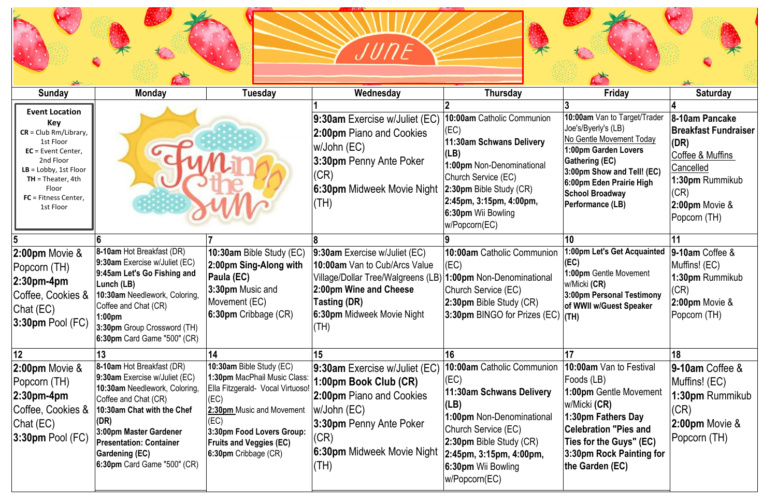



|                                                                                                                                                                                                                 |                                                                                                                                                                                                                                                                                      |                                                                                                                                                                                                                                      | 'UNE                                                                                                                                                                                                      |                                                                                                                                                                                                                                             |                                                                                                                                                                                                                                                 |                                                                                                                                                     |
|-----------------------------------------------------------------------------------------------------------------------------------------------------------------------------------------------------------------|--------------------------------------------------------------------------------------------------------------------------------------------------------------------------------------------------------------------------------------------------------------------------------------|--------------------------------------------------------------------------------------------------------------------------------------------------------------------------------------------------------------------------------------|-----------------------------------------------------------------------------------------------------------------------------------------------------------------------------------------------------------|---------------------------------------------------------------------------------------------------------------------------------------------------------------------------------------------------------------------------------------------|-------------------------------------------------------------------------------------------------------------------------------------------------------------------------------------------------------------------------------------------------|-----------------------------------------------------------------------------------------------------------------------------------------------------|
| <b>Sunday</b>                                                                                                                                                                                                   | <b>Monday</b>                                                                                                                                                                                                                                                                        | Tuesday                                                                                                                                                                                                                              | Wednesday                                                                                                                                                                                                 | Thursday                                                                                                                                                                                                                                    | Friday                                                                                                                                                                                                                                          | <b>Saturday</b>                                                                                                                                     |
| <b>Event Location</b><br>Key<br>$CR = Club Rm/Library,$<br>1st Floor<br>EC = Event Center,<br>2nd Floor<br>$LB = Lobby$ , 1st Floor<br>$TH = Theater, 4th$<br>Floor<br><b>FC</b> = Fitness Center,<br>1st Floor |                                                                                                                                                                                                                                                                                      |                                                                                                                                                                                                                                      | 9:30am Exercise w/Juliet (EC)<br>2:00pm Piano and Cookies<br>w/John (EC)<br>3:30pm Penny Ante Poker<br>(CR)<br>6:30pm Midweek Movie Night 2:30pm Bible Study (CR)<br>$(\mathsf{TH})$                      | 10:00am Catholic Communion<br>(EC)<br>11:30am Schwans Delivery<br>(LB)<br>1:00pm Non-Denominational<br>Church Service (EC)<br>2:45pm, 3:15pm, 4:00pm,<br>6:30pm Wii Bowling<br>w/Popcorn(EC)                                                | 10:00am Van to Target/Trader<br>Joe's/Byerly's (LB)<br>No Gentle Movement Today<br>1:00pm Garden Lovers<br><b>Gathering (EC)</b><br>3:00pm Show and Tell! (EC)<br>6:00pm Eden Prairie High<br><b>School Broadway</b><br><b>Performance (LB)</b> | 8-10am Pancake<br><b>Breakfast Fundraiser</b><br>(DR)<br>Coffee & Muffins<br>Cancelled<br>1:30pm Rummikub<br>(CR)<br>2:00pm Movie &<br>Popcorn (TH) |
|                                                                                                                                                                                                                 |                                                                                                                                                                                                                                                                                      |                                                                                                                                                                                                                                      |                                                                                                                                                                                                           |                                                                                                                                                                                                                                             | 10                                                                                                                                                                                                                                              |                                                                                                                                                     |
| 2:00pm Movie &<br>Popcorn (TH)<br>$2:30$ pm-4pm<br>Coffee, Cookies &<br>Chat (EC)<br>$3:30$ pm Pool (FC)                                                                                                        | 8-10am Hot Breakfast (DR)<br>9:30am Exercise w/Juliet (EC)<br>9:45am Let's Go Fishing and<br>Lunch (LB)<br>10:30am Needlework, Coloring,<br>Coffee and Chat (CR)<br>:00pm<br>3:30pm Group Crossword (TH)<br>6:30pm Card Game "500" (CR)                                              | 10:30am Bible Study (EC)<br>2:00pm Sing-Along with<br>Paula (EC)<br>3:30pm Music and<br>Movement (EC)<br>6:30pm Cribbage (CR)                                                                                                        | 9:30am Exercise w/Juliet (EC)<br>10:00am Van to Cub/Arcs Value<br>Village/Dollar Tree/Walgreens (LB)<br>2:00pm Wine and Cheese<br>Tasting (DR)<br>6:30pm Midweek Movie Night<br>$\mathsf{I}(\mathsf{TH})$ | 10:00am Catholic Communion<br>(EC)<br>1:00pm Non-Denominational<br>Church Service (EC)<br>2:30pm Bible Study (CR)<br>3:30pm BINGO for Prizes (EC) $ $ (TH)                                                                                  | 1:00pm Let's Get Acquainted<br>(EC)<br>1:00pm Gentle Movement<br>w/Micki (CR)<br>3:00pm Personal Testimony<br>of WWII w/Guest Speaker                                                                                                           | 9-10am Coffee &<br>Muffins! (EC)<br>1:30pm Rummikub<br>(CR)<br>2:00pm Movie &<br>Popcorn (TH)                                                       |
| 12                                                                                                                                                                                                              |                                                                                                                                                                                                                                                                                      | 14                                                                                                                                                                                                                                   | 15                                                                                                                                                                                                        | 16                                                                                                                                                                                                                                          |                                                                                                                                                                                                                                                 | 18                                                                                                                                                  |
| $2:00$ pm Movie $\&$<br>Popcorn (TH)<br>$2:30$ pm-4pm<br>Coffee, Cookies &<br>Chat $(EC)$<br>$3:30$ pm Pool (FC)                                                                                                | 8-10am Hot Breakfast (DR)<br>9:30am Exercise w/Juliet (EC)<br>10:30am Needlework, Coloring,<br>Coffee and Chat (CR)<br>10:30am Chat with the Chef<br>(DR)<br>3:00pm Master Gardener<br><b>Presentation: Container</b><br><b>Gardening (EC)</b><br><b>6:30pm</b> Card Game "500" (CR) | 10:30am Bible Study (EC)<br>1:30pm MacPhail Music Class:  <br>Ella Fitzgerald- Vocal Virtuoso!  <br>(EC)<br>2:30pm Music and Movement<br>(EC)<br>3:30pm Food Lovers Group:<br><b>Fruits and Veggies (EC)</b><br>6:30pm Cribbage (CR) | 9:30am Exercise w/Juliet (EC)<br>1:00pm Book Club (CR)<br>2:00pm Piano and Cookies<br>$w/John$ (EC)<br>3:30pm Penny Ante Poker<br>(CR)<br>6:30pm Midweek Movie Night<br>(HH)                              | 10:00am Catholic Communion<br>(EC)<br>11:30am Schwans Delivery<br>(LB)<br><b>1:00pm Non-Denominational</b><br>Church Service (EC)<br>2:30pm Bible Study (CR)<br>2:45pm, 3:15pm, 4:00pm,<br><b>6:30pm Wii Bowling</b><br>$w$ /Popcorn $(EC)$ | <b>10:00am</b> Van to Festival<br>Foods (LB)<br>1:00pm Gentle Movement<br>w/Micki (CR)<br>1:30pm Fathers Day<br><b>Celebration "Pies and</b><br>Ties for the Guys" (EC)<br>3:30pm Rock Painting for<br>the Garden (EC)                          | 9-10am Coffee &<br>Muffins! (EC)<br>1:30pm Rummikub<br>(CR)<br>2:00pm Movie &<br>Popcorn (TH)                                                       |